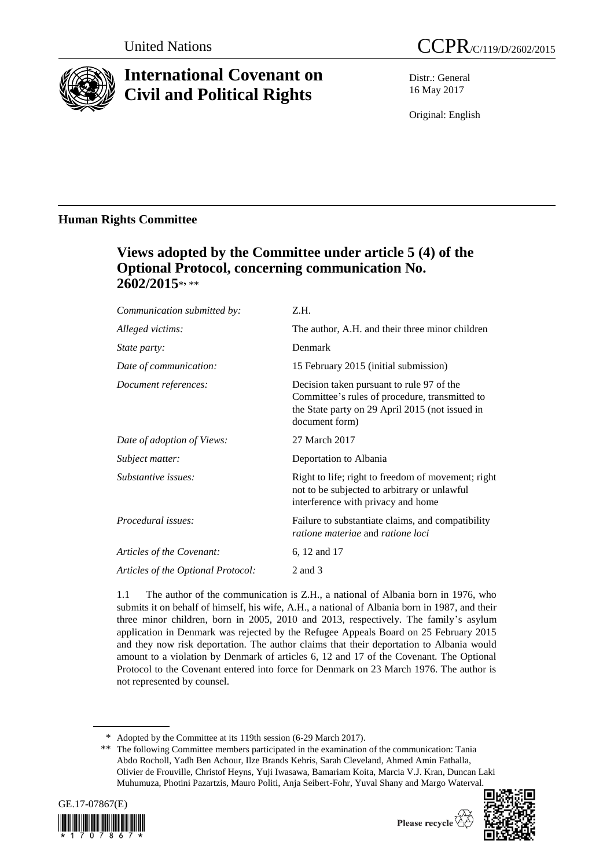

# **International Covenant on Civil and Political Rights**

Distr.: General 16 May 2017

Original: English

# **Human Rights Committee**

# **Views adopted by the Committee under article 5 (4) of the Optional Protocol, concerning communication No. 2602/2015**\* **,** \*\*

| Communication submitted by:        | Z.H.                                                                                                                                                             |
|------------------------------------|------------------------------------------------------------------------------------------------------------------------------------------------------------------|
| Alleged victims:                   | The author, A.H. and their three minor children                                                                                                                  |
| <i>State party:</i>                | Denmark                                                                                                                                                          |
| Date of communication:             | 15 February 2015 (initial submission)                                                                                                                            |
| Document references:               | Decision taken pursuant to rule 97 of the<br>Committee's rules of procedure, transmitted to<br>the State party on 29 April 2015 (not issued in<br>document form) |
| Date of adoption of Views:         | 27 March 2017                                                                                                                                                    |
| Subject matter:                    | Deportation to Albania                                                                                                                                           |
| Substantive issues:                | Right to life; right to freedom of movement; right<br>not to be subjected to arbitrary or unlawful<br>interference with privacy and home                         |
| Procedural issues:                 | Failure to substantiate claims, and compatibility<br>ratione materiae and ratione loci                                                                           |
| Articles of the Covenant:          | 6, 12 and 17                                                                                                                                                     |
| Articles of the Optional Protocol: | 2 and 3                                                                                                                                                          |
|                                    |                                                                                                                                                                  |

1.1 The author of the communication is Z.H., a national of Albania born in 1976, who submits it on behalf of himself, his wife, A.H., a national of Albania born in 1987, and their three minor children, born in 2005, 2010 and 2013, respectively. The family's asylum application in Denmark was rejected by the Refugee Appeals Board on 25 February 2015 and they now risk deportation. The author claims that their deportation to Albania would amount to a violation by Denmark of articles 6, 12 and 17 of the Covenant. The Optional Protocol to the Covenant entered into force for Denmark on 23 March 1976. The author is not represented by counsel.

\*\* The following Committee members participated in the examination of the communication: Tania Abdo Rocholl, Yadh Ben Achour, Ilze Brands Kehris, Sarah Cleveland, Ahmed Amin Fathalla, Olivier de Frouville, Christof Heyns, Yuji Iwasawa, Bamariam Koita, Marcia V.J. Kran, Duncan Laki Muhumuza, Photini Pazartzis, Mauro Politi, Anja Seibert-Fohr, Yuval Shany and Margo Waterval.







<sup>\*</sup> Adopted by the Committee at its 119th session (6-29 March 2017).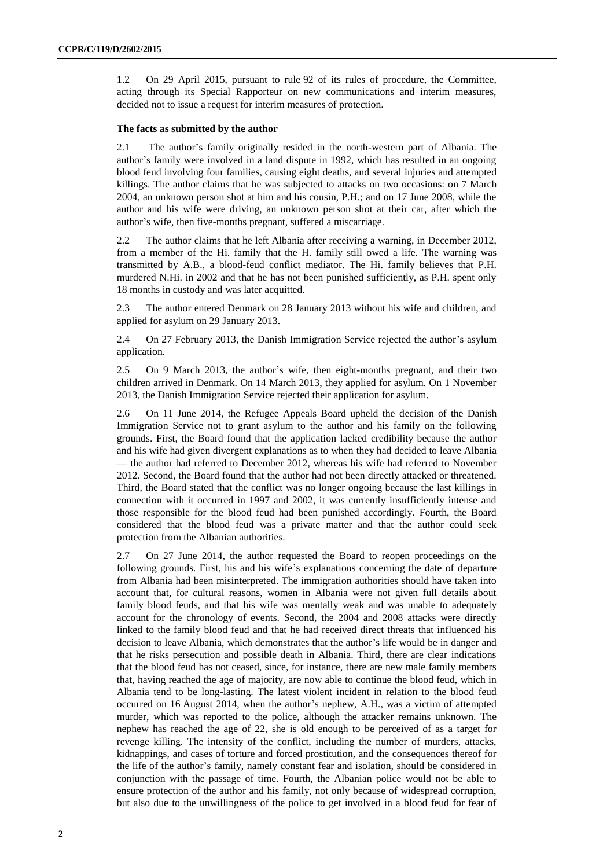1.2 On 29 April 2015, pursuant to rule 92 of its rules of procedure, the Committee, acting through its Special Rapporteur on new communications and interim measures, decided not to issue a request for interim measures of protection.

### **The facts as submitted by the author**

2.1 The author's family originally resided in the north-western part of Albania. The author's family were involved in a land dispute in 1992, which has resulted in an ongoing blood feud involving four families, causing eight deaths, and several injuries and attempted killings. The author claims that he was subjected to attacks on two occasions: on 7 March 2004, an unknown person shot at him and his cousin, P.H.; and on 17 June 2008, while the author and his wife were driving, an unknown person shot at their car, after which the author's wife, then five-months pregnant, suffered a miscarriage.

2.2 The author claims that he left Albania after receiving a warning, in December 2012, from a member of the Hi. family that the H. family still owed a life. The warning was transmitted by A.B., a blood-feud conflict mediator. The Hi. family believes that P.H. murdered N.Hi. in 2002 and that he has not been punished sufficiently, as P.H. spent only 18 months in custody and was later acquitted.

2.3 The author entered Denmark on 28 January 2013 without his wife and children, and applied for asylum on 29 January 2013.

2.4 On 27 February 2013, the Danish Immigration Service rejected the author's asylum application.

2.5 On 9 March 2013, the author's wife, then eight-months pregnant, and their two children arrived in Denmark. On 14 March 2013, they applied for asylum. On 1 November 2013, the Danish Immigration Service rejected their application for asylum.

2.6 On 11 June 2014, the Refugee Appeals Board upheld the decision of the Danish Immigration Service not to grant asylum to the author and his family on the following grounds. First, the Board found that the application lacked credibility because the author and his wife had given divergent explanations as to when they had decided to leave Albania — the author had referred to December 2012, whereas his wife had referred to November 2012. Second, the Board found that the author had not been directly attacked or threatened. Third, the Board stated that the conflict was no longer ongoing because the last killings in connection with it occurred in 1997 and 2002, it was currently insufficiently intense and those responsible for the blood feud had been punished accordingly. Fourth, the Board considered that the blood feud was a private matter and that the author could seek protection from the Albanian authorities.

2.7 On 27 June 2014, the author requested the Board to reopen proceedings on the following grounds. First, his and his wife's explanations concerning the date of departure from Albania had been misinterpreted. The immigration authorities should have taken into account that, for cultural reasons, women in Albania were not given full details about family blood feuds, and that his wife was mentally weak and was unable to adequately account for the chronology of events. Second, the 2004 and 2008 attacks were directly linked to the family blood feud and that he had received direct threats that influenced his decision to leave Albania, which demonstrates that the author's life would be in danger and that he risks persecution and possible death in Albania. Third, there are clear indications that the blood feud has not ceased, since, for instance, there are new male family members that, having reached the age of majority, are now able to continue the blood feud, which in Albania tend to be long-lasting. The latest violent incident in relation to the blood feud occurred on 16 August 2014, when the author's nephew, A.H., was a victim of attempted murder, which was reported to the police, although the attacker remains unknown. The nephew has reached the age of 22, she is old enough to be perceived of as a target for revenge killing. The intensity of the conflict, including the number of murders, attacks, kidnappings, and cases of torture and forced prostitution, and the consequences thereof for the life of the author's family, namely constant fear and isolation, should be considered in conjunction with the passage of time. Fourth, the Albanian police would not be able to ensure protection of the author and his family, not only because of widespread corruption, but also due to the unwillingness of the police to get involved in a blood feud for fear of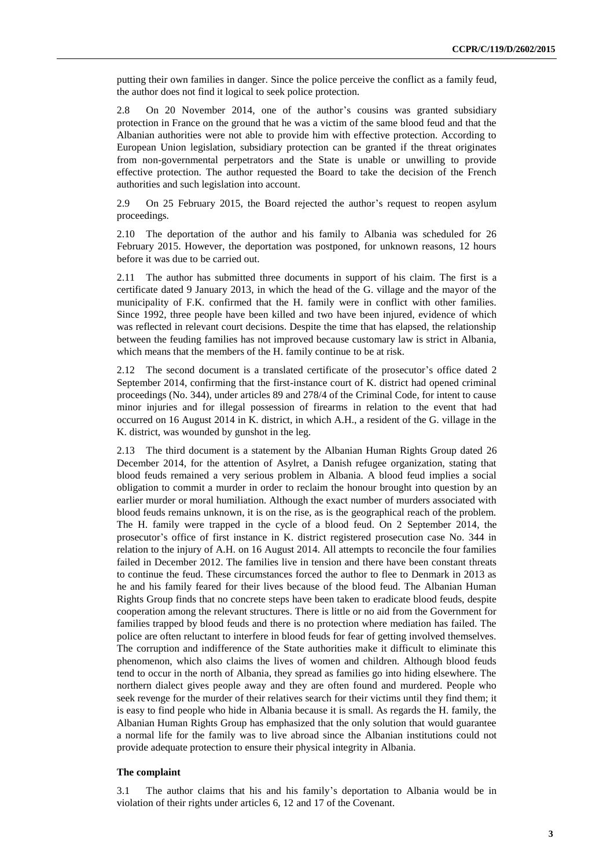putting their own families in danger. Since the police perceive the conflict as a family feud, the author does not find it logical to seek police protection.

2.8 On 20 November 2014, one of the author's cousins was granted subsidiary protection in France on the ground that he was a victim of the same blood feud and that the Albanian authorities were not able to provide him with effective protection. According to European Union legislation, subsidiary protection can be granted if the threat originates from non-governmental perpetrators and the State is unable or unwilling to provide effective protection. The author requested the Board to take the decision of the French authorities and such legislation into account.

2.9 On 25 February 2015, the Board rejected the author's request to reopen asylum proceedings.

2.10 The deportation of the author and his family to Albania was scheduled for 26 February 2015. However, the deportation was postponed, for unknown reasons, 12 hours before it was due to be carried out.

2.11 The author has submitted three documents in support of his claim. The first is a certificate dated 9 January 2013, in which the head of the G. village and the mayor of the municipality of F.K. confirmed that the H. family were in conflict with other families. Since 1992, three people have been killed and two have been injured, evidence of which was reflected in relevant court decisions. Despite the time that has elapsed, the relationship between the feuding families has not improved because customary law is strict in Albania, which means that the members of the H. family continue to be at risk.

2.12 The second document is a translated certificate of the prosecutor's office dated 2 September 2014, confirming that the first-instance court of K. district had opened criminal proceedings (No. 344), under articles 89 and 278/4 of the Criminal Code, for intent to cause minor injuries and for illegal possession of firearms in relation to the event that had occurred on 16 August 2014 in K. district, in which A.H., a resident of the G. village in the K. district, was wounded by gunshot in the leg.

2.13 The third document is a statement by the Albanian Human Rights Group dated 26 December 2014, for the attention of Asylret, a Danish refugee organization, stating that blood feuds remained a very serious problem in Albania. A blood feud implies a social obligation to commit a murder in order to reclaim the honour brought into question by an earlier murder or moral humiliation. Although the exact number of murders associated with blood feuds remains unknown, it is on the rise, as is the geographical reach of the problem. The H. family were trapped in the cycle of a blood feud. On 2 September 2014, the prosecutor's office of first instance in K. district registered prosecution case No. 344 in relation to the injury of A.H. on 16 August 2014. All attempts to reconcile the four families failed in December 2012. The families live in tension and there have been constant threats to continue the feud. These circumstances forced the author to flee to Denmark in 2013 as he and his family feared for their lives because of the blood feud. The Albanian Human Rights Group finds that no concrete steps have been taken to eradicate blood feuds, despite cooperation among the relevant structures. There is little or no aid from the Government for families trapped by blood feuds and there is no protection where mediation has failed. The police are often reluctant to interfere in blood feuds for fear of getting involved themselves. The corruption and indifference of the State authorities make it difficult to eliminate this phenomenon, which also claims the lives of women and children. Although blood feuds tend to occur in the north of Albania, they spread as families go into hiding elsewhere. The northern dialect gives people away and they are often found and murdered. People who seek revenge for the murder of their relatives search for their victims until they find them; it is easy to find people who hide in Albania because it is small. As regards the H. family, the Albanian Human Rights Group has emphasized that the only solution that would guarantee a normal life for the family was to live abroad since the Albanian institutions could not provide adequate protection to ensure their physical integrity in Albania.

## **The complaint**

3.1 The author claims that his and his family's deportation to Albania would be in violation of their rights under articles 6, 12 and 17 of the Covenant.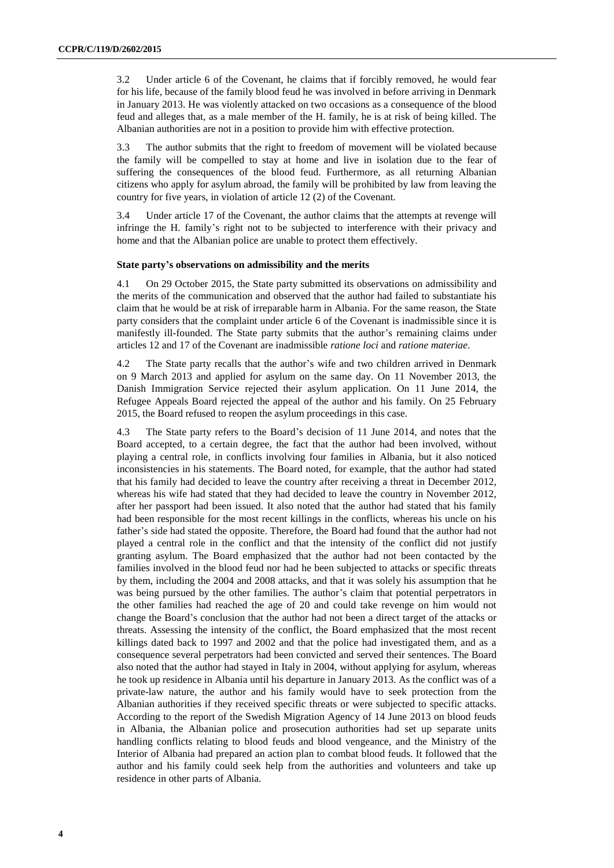3.2 Under article 6 of the Covenant, he claims that if forcibly removed, he would fear for his life, because of the family blood feud he was involved in before arriving in Denmark in January 2013. He was violently attacked on two occasions as a consequence of the blood feud and alleges that, as a male member of the H. family, he is at risk of being killed. The Albanian authorities are not in a position to provide him with effective protection.

3.3 The author submits that the right to freedom of movement will be violated because the family will be compelled to stay at home and live in isolation due to the fear of suffering the consequences of the blood feud. Furthermore, as all returning Albanian citizens who apply for asylum abroad, the family will be prohibited by law from leaving the country for five years, in violation of article 12 (2) of the Covenant.

3.4 Under article 17 of the Covenant, the author claims that the attempts at revenge will infringe the H. family's right not to be subjected to interference with their privacy and home and that the Albanian police are unable to protect them effectively.

#### **State party's observations on admissibility and the merits**

4.1 On 29 October 2015, the State party submitted its observations on admissibility and the merits of the communication and observed that the author had failed to substantiate his claim that he would be at risk of irreparable harm in Albania. For the same reason, the State party considers that the complaint under article 6 of the Covenant is inadmissible since it is manifestly ill-founded. The State party submits that the author's remaining claims under articles 12 and 17 of the Covenant are inadmissible *ratione loci* and *ratione materiae*.

4.2 The State party recalls that the author's wife and two children arrived in Denmark on 9 March 2013 and applied for asylum on the same day. On 11 November 2013, the Danish Immigration Service rejected their asylum application. On 11 June 2014, the Refugee Appeals Board rejected the appeal of the author and his family. On 25 February 2015, the Board refused to reopen the asylum proceedings in this case.

4.3 The State party refers to the Board's decision of 11 June 2014, and notes that the Board accepted, to a certain degree, the fact that the author had been involved, without playing a central role, in conflicts involving four families in Albania, but it also noticed inconsistencies in his statements. The Board noted, for example, that the author had stated that his family had decided to leave the country after receiving a threat in December 2012, whereas his wife had stated that they had decided to leave the country in November 2012, after her passport had been issued. It also noted that the author had stated that his family had been responsible for the most recent killings in the conflicts, whereas his uncle on his father's side had stated the opposite. Therefore, the Board had found that the author had not played a central role in the conflict and that the intensity of the conflict did not justify granting asylum. The Board emphasized that the author had not been contacted by the families involved in the blood feud nor had he been subjected to attacks or specific threats by them, including the 2004 and 2008 attacks, and that it was solely his assumption that he was being pursued by the other families. The author's claim that potential perpetrators in the other families had reached the age of 20 and could take revenge on him would not change the Board's conclusion that the author had not been a direct target of the attacks or threats. Assessing the intensity of the conflict, the Board emphasized that the most recent killings dated back to 1997 and 2002 and that the police had investigated them, and as a consequence several perpetrators had been convicted and served their sentences. The Board also noted that the author had stayed in Italy in 2004, without applying for asylum, whereas he took up residence in Albania until his departure in January 2013. As the conflict was of a private-law nature, the author and his family would have to seek protection from the Albanian authorities if they received specific threats or were subjected to specific attacks. According to the report of the Swedish Migration Agency of 14 June 2013 on blood feuds in Albania, the Albanian police and prosecution authorities had set up separate units handling conflicts relating to blood feuds and blood vengeance, and the Ministry of the Interior of Albania had prepared an action plan to combat blood feuds. It followed that the author and his family could seek help from the authorities and volunteers and take up residence in other parts of Albania.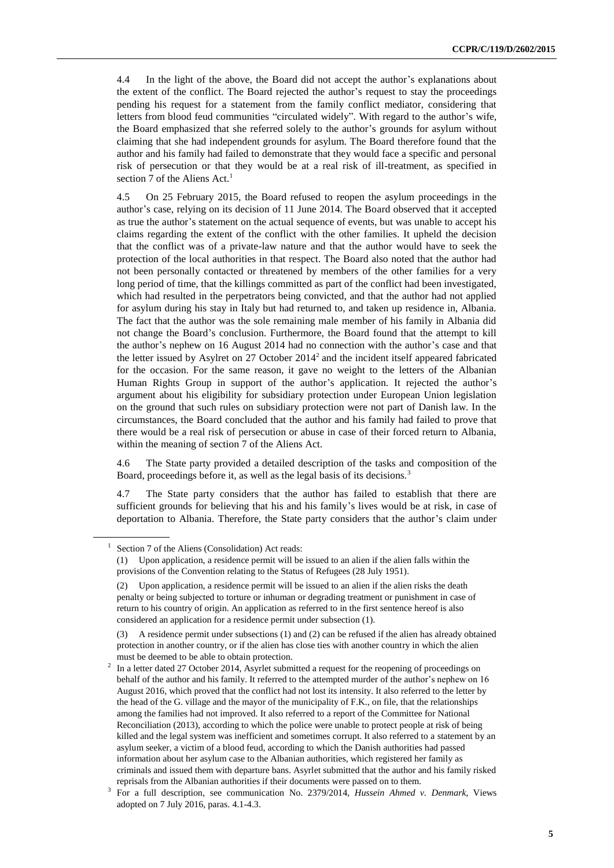4.4 In the light of the above, the Board did not accept the author's explanations about the extent of the conflict. The Board rejected the author's request to stay the proceedings pending his request for a statement from the family conflict mediator, considering that letters from blood feud communities "circulated widely". With regard to the author's wife, the Board emphasized that she referred solely to the author's grounds for asylum without claiming that she had independent grounds for asylum. The Board therefore found that the author and his family had failed to demonstrate that they would face a specific and personal risk of persecution or that they would be at a real risk of ill-treatment, as specified in section 7 of the Aliens  $Act.1$ 

4.5 On 25 February 2015, the Board refused to reopen the asylum proceedings in the author's case, relying on its decision of 11 June 2014. The Board observed that it accepted as true the author's statement on the actual sequence of events, but was unable to accept his claims regarding the extent of the conflict with the other families. It upheld the decision that the conflict was of a private-law nature and that the author would have to seek the protection of the local authorities in that respect. The Board also noted that the author had not been personally contacted or threatened by members of the other families for a very long period of time, that the killings committed as part of the conflict had been investigated, which had resulted in the perpetrators being convicted, and that the author had not applied for asylum during his stay in Italy but had returned to, and taken up residence in, Albania. The fact that the author was the sole remaining male member of his family in Albania did not change the Board's conclusion. Furthermore, the Board found that the attempt to kill the author's nephew on 16 August 2014 had no connection with the author's case and that the letter issued by Asylret on  $27$  October  $2014<sup>2</sup>$  and the incident itself appeared fabricated for the occasion. For the same reason, it gave no weight to the letters of the Albanian Human Rights Group in support of the author's application. It rejected the author's argument about his eligibility for subsidiary protection under European Union legislation on the ground that such rules on subsidiary protection were not part of Danish law. In the circumstances, the Board concluded that the author and his family had failed to prove that there would be a real risk of persecution or abuse in case of their forced return to Albania, within the meaning of section 7 of the Aliens Act.

4.6 The State party provided a detailed description of the tasks and composition of the Board, proceedings before it, as well as the legal basis of its decisions.<sup>3</sup>

4.7 The State party considers that the author has failed to establish that there are sufficient grounds for believing that his and his family's lives would be at risk, in case of deportation to Albania. Therefore, the State party considers that the author's claim under

<sup>1</sup> Section 7 of the Aliens (Consolidation) Act reads:

<sup>(1)</sup> Upon application, a residence permit will be issued to an alien if the alien falls within the provisions of the Convention relating to the Status of Refugees (28 July 1951).

<sup>(2)</sup> Upon application, a residence permit will be issued to an alien if the alien risks the death penalty or being subjected to torture or inhuman or degrading treatment or punishment in case of return to his country of origin. An application as referred to in the first sentence hereof is also considered an application for a residence permit under subsection (1).

<sup>(3)</sup> A residence permit under subsections (1) and (2) can be refused if the alien has already obtained protection in another country, or if the alien has close ties with another country in which the alien must be deemed to be able to obtain protection.

<sup>2</sup> In a letter dated 27 October 2014, Asyrlet submitted a request for the reopening of proceedings on behalf of the author and his family. It referred to the attempted murder of the author's nephew on 16 August 2016, which proved that the conflict had not lost its intensity. It also referred to the letter by the head of the G. village and the mayor of the municipality of F.K., on file, that the relationships among the families had not improved. It also referred to a report of the Committee for National Reconciliation (2013), according to which the police were unable to protect people at risk of being killed and the legal system was inefficient and sometimes corrupt. It also referred to a statement by an asylum seeker, a victim of a blood feud, according to which the Danish authorities had passed information about her asylum case to the Albanian authorities, which registered her family as criminals and issued them with departure bans. Asyrlet submitted that the author and his family risked reprisals from the Albanian authorities if their documents were passed on to them.

<sup>3</sup> For a full description, see communication No. 2379/2014, *Hussein Ahmed v. Denmark*, Views adopted on 7 July 2016, paras. 4.1-4.3.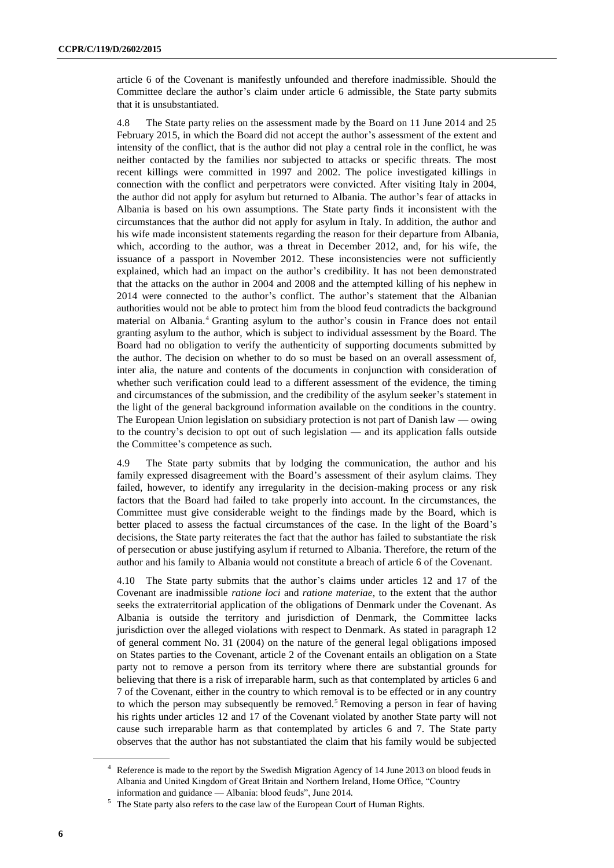article 6 of the Covenant is manifestly unfounded and therefore inadmissible. Should the Committee declare the author's claim under article 6 admissible, the State party submits that it is unsubstantiated.

4.8 The State party relies on the assessment made by the Board on 11 June 2014 and 25 February 2015, in which the Board did not accept the author's assessment of the extent and intensity of the conflict, that is the author did not play a central role in the conflict, he was neither contacted by the families nor subjected to attacks or specific threats. The most recent killings were committed in 1997 and 2002. The police investigated killings in connection with the conflict and perpetrators were convicted. After visiting Italy in 2004, the author did not apply for asylum but returned to Albania. The author's fear of attacks in Albania is based on his own assumptions. The State party finds it inconsistent with the circumstances that the author did not apply for asylum in Italy. In addition, the author and his wife made inconsistent statements regarding the reason for their departure from Albania, which, according to the author, was a threat in December 2012, and, for his wife, the issuance of a passport in November 2012. These inconsistencies were not sufficiently explained, which had an impact on the author's credibility. It has not been demonstrated that the attacks on the author in 2004 and 2008 and the attempted killing of his nephew in 2014 were connected to the author's conflict. The author's statement that the Albanian authorities would not be able to protect him from the blood feud contradicts the background material on Albania.<sup>4</sup> Granting asylum to the author's cousin in France does not entail granting asylum to the author, which is subject to individual assessment by the Board. The Board had no obligation to verify the authenticity of supporting documents submitted by the author. The decision on whether to do so must be based on an overall assessment of, inter alia, the nature and contents of the documents in conjunction with consideration of whether such verification could lead to a different assessment of the evidence, the timing and circumstances of the submission, and the credibility of the asylum seeker's statement in the light of the general background information available on the conditions in the country. The European Union legislation on subsidiary protection is not part of Danish law — owing to the country's decision to opt out of such legislation — and its application falls outside the Committee's competence as such.

4.9 The State party submits that by lodging the communication, the author and his family expressed disagreement with the Board's assessment of their asylum claims. They failed, however, to identify any irregularity in the decision-making process or any risk factors that the Board had failed to take properly into account. In the circumstances, the Committee must give considerable weight to the findings made by the Board, which is better placed to assess the factual circumstances of the case. In the light of the Board's decisions, the State party reiterates the fact that the author has failed to substantiate the risk of persecution or abuse justifying asylum if returned to Albania. Therefore, the return of the author and his family to Albania would not constitute a breach of article 6 of the Covenant.

4.10 The State party submits that the author's claims under articles 12 and 17 of the Covenant are inadmissible *ratione loci* and *ratione materiae*, to the extent that the author seeks the extraterritorial application of the obligations of Denmark under the Covenant. As Albania is outside the territory and jurisdiction of Denmark, the Committee lacks jurisdiction over the alleged violations with respect to Denmark. As stated in paragraph 12 of general comment No. 31 (2004) on the nature of the general legal obligations imposed on States parties to the Covenant, article 2 of the Covenant entails an obligation on a State party not to remove a person from its territory where there are substantial grounds for believing that there is a risk of irreparable harm, such as that contemplated by articles 6 and 7 of the Covenant, either in the country to which removal is to be effected or in any country to which the person may subsequently be removed.<sup>5</sup> Removing a person in fear of having his rights under articles 12 and 17 of the Covenant violated by another State party will not cause such irreparable harm as that contemplated by articles 6 and 7. The State party observes that the author has not substantiated the claim that his family would be subjected

Reference is made to the report by the Swedish Migration Agency of 14 June 2013 on blood feuds in Albania and United Kingdom of Great Britain and Northern Ireland, Home Office, "Country information and guidance — Albania: blood feuds", June 2014.

The State party also refers to the case law of the European Court of Human Rights.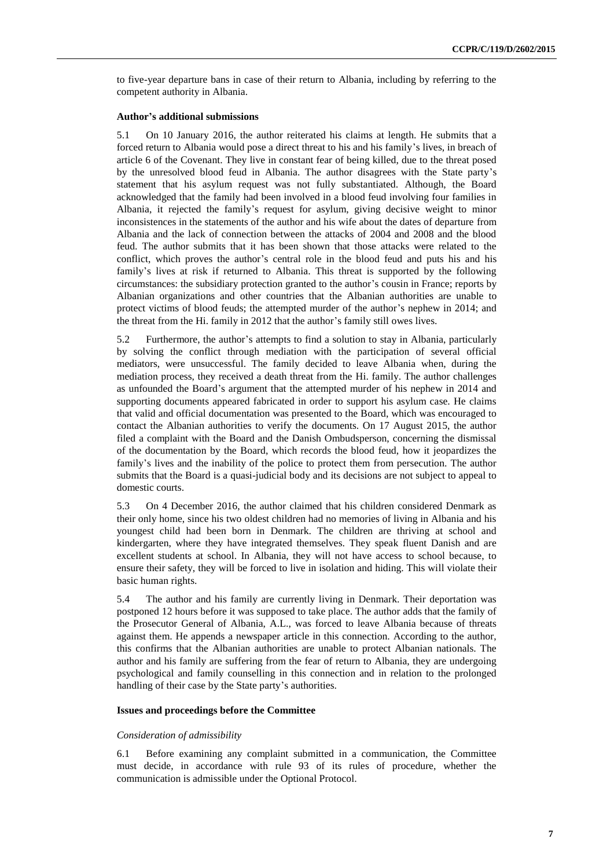to five-year departure bans in case of their return to Albania, including by referring to the competent authority in Albania.

#### **Author's additional submissions**

5.1 On 10 January 2016, the author reiterated his claims at length. He submits that a forced return to Albania would pose a direct threat to his and his family's lives, in breach of article 6 of the Covenant. They live in constant fear of being killed, due to the threat posed by the unresolved blood feud in Albania. The author disagrees with the State party's statement that his asylum request was not fully substantiated. Although, the Board acknowledged that the family had been involved in a blood feud involving four families in Albania, it rejected the family's request for asylum, giving decisive weight to minor inconsistences in the statements of the author and his wife about the dates of departure from Albania and the lack of connection between the attacks of 2004 and 2008 and the blood feud. The author submits that it has been shown that those attacks were related to the conflict, which proves the author's central role in the blood feud and puts his and his family's lives at risk if returned to Albania. This threat is supported by the following circumstances: the subsidiary protection granted to the author's cousin in France; reports by Albanian organizations and other countries that the Albanian authorities are unable to protect victims of blood feuds; the attempted murder of the author's nephew in 2014; and the threat from the Hi. family in 2012 that the author's family still owes lives.

5.2 Furthermore, the author's attempts to find a solution to stay in Albania, particularly by solving the conflict through mediation with the participation of several official mediators, were unsuccessful. The family decided to leave Albania when, during the mediation process, they received a death threat from the Hi. family. The author challenges as unfounded the Board's argument that the attempted murder of his nephew in 2014 and supporting documents appeared fabricated in order to support his asylum case. He claims that valid and official documentation was presented to the Board, which was encouraged to contact the Albanian authorities to verify the documents. On 17 August 2015, the author filed a complaint with the Board and the Danish Ombudsperson, concerning the dismissal of the documentation by the Board, which records the blood feud, how it jeopardizes the family's lives and the inability of the police to protect them from persecution. The author submits that the Board is a quasi-judicial body and its decisions are not subject to appeal to domestic courts.

5.3 On 4 December 2016, the author claimed that his children considered Denmark as their only home, since his two oldest children had no memories of living in Albania and his youngest child had been born in Denmark. The children are thriving at school and kindergarten, where they have integrated themselves. They speak fluent Danish and are excellent students at school. In Albania, they will not have access to school because, to ensure their safety, they will be forced to live in isolation and hiding. This will violate their basic human rights.

5.4 The author and his family are currently living in Denmark. Their deportation was postponed 12 hours before it was supposed to take place. The author adds that the family of the Prosecutor General of Albania, A.L., was forced to leave Albania because of threats against them. He appends a newspaper article in this connection. According to the author, this confirms that the Albanian authorities are unable to protect Albanian nationals. The author and his family are suffering from the fear of return to Albania, they are undergoing psychological and family counselling in this connection and in relation to the prolonged handling of their case by the State party's authorities.

#### **Issues and proceedings before the Committee**

#### *Consideration of admissibility*

6.1 Before examining any complaint submitted in a communication, the Committee must decide, in accordance with rule 93 of its rules of procedure, whether the communication is admissible under the Optional Protocol.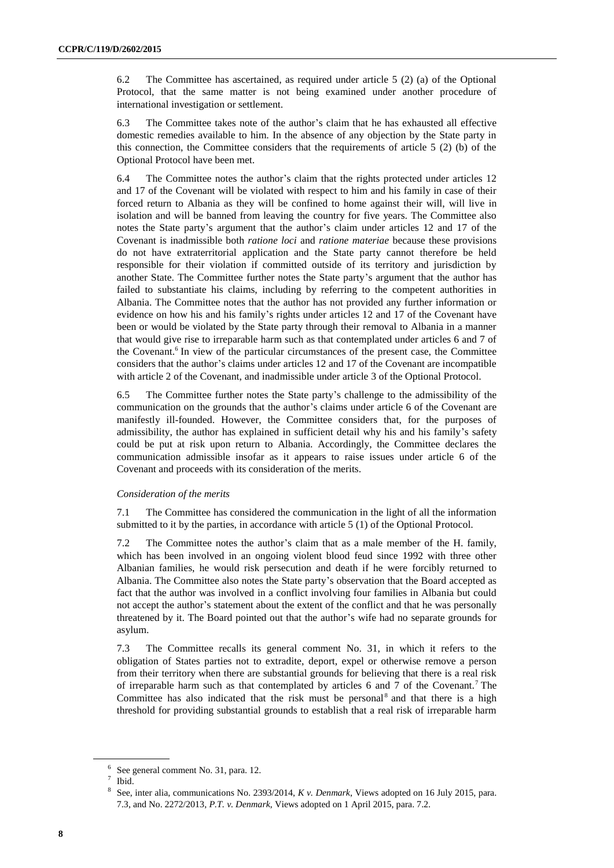6.2 The Committee has ascertained, as required under article 5 (2) (a) of the Optional Protocol, that the same matter is not being examined under another procedure of international investigation or settlement.

6.3 The Committee takes note of the author's claim that he has exhausted all effective domestic remedies available to him. In the absence of any objection by the State party in this connection, the Committee considers that the requirements of article 5 (2) (b) of the Optional Protocol have been met.

6.4 The Committee notes the author's claim that the rights protected under articles 12 and 17 of the Covenant will be violated with respect to him and his family in case of their forced return to Albania as they will be confined to home against their will, will live in isolation and will be banned from leaving the country for five years. The Committee also notes the State party's argument that the author's claim under articles 12 and 17 of the Covenant is inadmissible both *ratione loci* and *ratione materiae* because these provisions do not have extraterritorial application and the State party cannot therefore be held responsible for their violation if committed outside of its territory and jurisdiction by another State. The Committee further notes the State party's argument that the author has failed to substantiate his claims, including by referring to the competent authorities in Albania. The Committee notes that the author has not provided any further information or evidence on how his and his family's rights under articles 12 and 17 of the Covenant have been or would be violated by the State party through their removal to Albania in a manner that would give rise to irreparable harm such as that contemplated under articles 6 and 7 of the Covenant.<sup>6</sup> In view of the particular circumstances of the present case, the Committee considers that the author's claims under articles 12 and 17 of the Covenant are incompatible with article 2 of the Covenant, and inadmissible under article 3 of the Optional Protocol.

6.5 The Committee further notes the State party's challenge to the admissibility of the communication on the grounds that the author's claims under article 6 of the Covenant are manifestly ill-founded. However, the Committee considers that, for the purposes of admissibility, the author has explained in sufficient detail why his and his family's safety could be put at risk upon return to Albania. Accordingly, the Committee declares the communication admissible insofar as it appears to raise issues under article 6 of the Covenant and proceeds with its consideration of the merits.

### *Consideration of the merits*

7.1 The Committee has considered the communication in the light of all the information submitted to it by the parties, in accordance with article 5 (1) of the Optional Protocol.

7.2 The Committee notes the author's claim that as a male member of the H. family, which has been involved in an ongoing violent blood feud since 1992 with three other Albanian families, he would risk persecution and death if he were forcibly returned to Albania. The Committee also notes the State party's observation that the Board accepted as fact that the author was involved in a conflict involving four families in Albania but could not accept the author's statement about the extent of the conflict and that he was personally threatened by it. The Board pointed out that the author's wife had no separate grounds for asylum.

7.3 The Committee recalls its general comment No. 31, in which it refers to the obligation of States parties not to extradite, deport, expel or otherwise remove a person from their territory when there are substantial grounds for believing that there is a real risk of irreparable harm such as that contemplated by articles 6 and 7 of the Covenant.<sup>7</sup> The Committee has also indicated that the risk must be personal<sup>8</sup> and that there is a high threshold for providing substantial grounds to establish that a real risk of irreparable harm

<sup>6</sup> See general comment No. 31, para. 12.

<sup>7</sup> Ibid.

<sup>8</sup> See, inter alia, communications No. 2393/2014, *K v. Denmark*, Views adopted on 16 July 2015, para. 7.3, and No. 2272/2013, *P.T. v. Denmark*, Views adopted on 1 April 2015, para. 7.2.